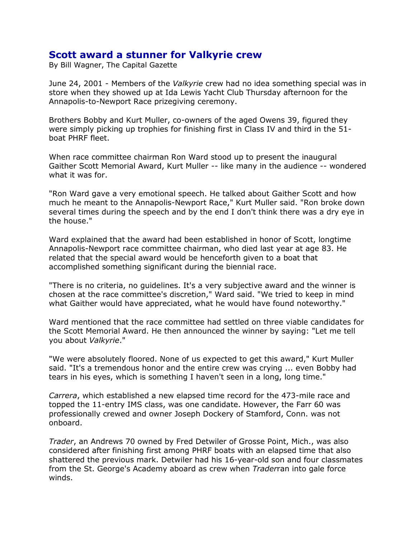## **Scott award a stunner for Valkyrie crew**

By Bill Wagner, The Capital Gazette

June 24, 2001 - Members of the *Valkyrie* crew had no idea something special was in store when they showed up at Ida Lewis Yacht Club Thursday afternoon for the Annapolis-to-Newport Race prizegiving ceremony.

Brothers Bobby and Kurt Muller, co-owners of the aged Owens 39, figured they were simply picking up trophies for finishing first in Class IV and third in the 51 boat PHRF fleet.

When race committee chairman Ron Ward stood up to present the inaugural Gaither Scott Memorial Award, Kurt Muller -- like many in the audience -- wondered what it was for.

"Ron Ward gave a very emotional speech. He talked about Gaither Scott and how much he meant to the Annapolis-Newport Race," Kurt Muller said. "Ron broke down several times during the speech and by the end I don't think there was a dry eye in the house."

Ward explained that the award had been established in honor of Scott, longtime Annapolis-Newport race committee chairman, who died last year at age 83. He related that the special award would be henceforth given to a boat that accomplished something significant during the biennial race.

"There is no criteria, no guidelines. It's a very subjective award and the winner is chosen at the race committee's discretion," Ward said. "We tried to keep in mind what Gaither would have appreciated, what he would have found noteworthy."

Ward mentioned that the race committee had settled on three viable candidates for the Scott Memorial Award. He then announced the winner by saying: "Let me tell you about *Valkyrie*."

"We were absolutely floored. None of us expected to get this award," Kurt Muller said. "It's a tremendous honor and the entire crew was crying ... even Bobby had tears in his eyes, which is something I haven't seen in a long, long time."

*Carrera*, which established a new elapsed time record for the 473-mile race and topped the 11-entry IMS class, was one candidate. However, the Farr 60 was professionally crewed and owner Joseph Dockery of Stamford, Conn. was not onboard.

*Trader*, an Andrews 70 owned by Fred Detwiler of Grosse Point, Mich., was also considered after finishing first among PHRF boats with an elapsed time that also shattered the previous mark. Detwiler had his 16-year-old son and four classmates from the St. George's Academy aboard as crew when *Trader*ran into gale force winds.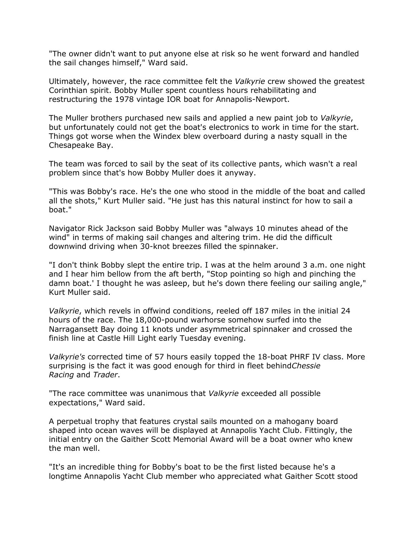"The owner didn't want to put anyone else at risk so he went forward and handled the sail changes himself," Ward said.

Ultimately, however, the race committee felt the *Valkyrie* crew showed the greatest Corinthian spirit. Bobby Muller spent countless hours rehabilitating and restructuring the 1978 vintage IOR boat for Annapolis-Newport.

The Muller brothers purchased new sails and applied a new paint job to *Valkyrie*, but unfortunately could not get the boat's electronics to work in time for the start. Things got worse when the Windex blew overboard during a nasty squall in the Chesapeake Bay.

The team was forced to sail by the seat of its collective pants, which wasn't a real problem since that's how Bobby Muller does it anyway.

"This was Bobby's race. He's the one who stood in the middle of the boat and called all the shots," Kurt Muller said. "He just has this natural instinct for how to sail a boat."

Navigator Rick Jackson said Bobby Muller was "always 10 minutes ahead of the wind" in terms of making sail changes and altering trim. He did the difficult downwind driving when 30-knot breezes filled the spinnaker.

"I don't think Bobby slept the entire trip. I was at the helm around 3 a.m. one night and I hear him bellow from the aft berth, "Stop pointing so high and pinching the damn boat.' I thought he was asleep, but he's down there feeling our sailing angle," Kurt Muller said.

*Valkyrie*, which revels in offwind conditions, reeled off 187 miles in the initial 24 hours of the race. The 18,000-pound warhorse somehow surfed into the Narragansett Bay doing 11 knots under asymmetrical spinnaker and crossed the finish line at Castle Hill Light early Tuesday evening.

*Valkyrie's* corrected time of 57 hours easily topped the 18-boat PHRF IV class. More surprising is the fact it was good enough for third in fleet behind*Chessie Racing* and *Trader*.

"The race committee was unanimous that *Valkyrie* exceeded all possible expectations," Ward said.

A perpetual trophy that features crystal sails mounted on a mahogany board shaped into ocean waves will be displayed at Annapolis Yacht Club. Fittingly, the initial entry on the Gaither Scott Memorial Award will be a boat owner who knew the man well.

"It's an incredible thing for Bobby's boat to be the first listed because he's a longtime Annapolis Yacht Club member who appreciated what Gaither Scott stood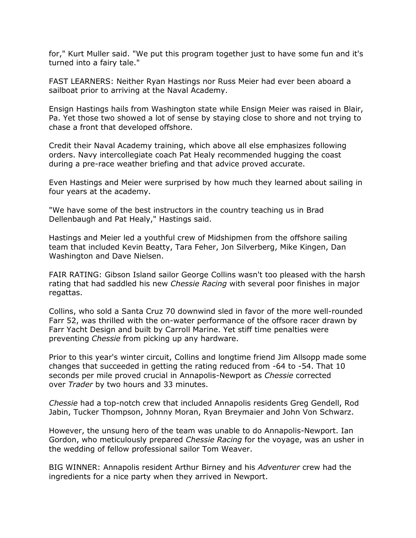for," Kurt Muller said. "We put this program together just to have some fun and it's turned into a fairy tale."

FAST LEARNERS: Neither Ryan Hastings nor Russ Meier had ever been aboard a sailboat prior to arriving at the Naval Academy.

Ensign Hastings hails from Washington state while Ensign Meier was raised in Blair, Pa. Yet those two showed a lot of sense by staying close to shore and not trying to chase a front that developed offshore.

Credit their Naval Academy training, which above all else emphasizes following orders. Navy intercollegiate coach Pat Healy recommended hugging the coast during a pre-race weather briefing and that advice proved accurate.

Even Hastings and Meier were surprised by how much they learned about sailing in four years at the academy.

"We have some of the best instructors in the country teaching us in Brad Dellenbaugh and Pat Healy," Hastings said.

Hastings and Meier led a youthful crew of Midshipmen from the offshore sailing team that included Kevin Beatty, Tara Feher, Jon Silverberg, Mike Kingen, Dan Washington and Dave Nielsen.

FAIR RATING: Gibson Island sailor George Collins wasn't too pleased with the harsh rating that had saddled his new *Chessie Racing* with several poor finishes in major regattas.

Collins, who sold a Santa Cruz 70 downwind sled in favor of the more well-rounded Farr 52, was thrilled with the on-water performance of the offsore racer drawn by Farr Yacht Design and built by Carroll Marine. Yet stiff time penalties were preventing *Chessie* from picking up any hardware.

Prior to this year's winter circuit, Collins and longtime friend Jim Allsopp made some changes that succeeded in getting the rating reduced from -64 to -54. That 10 seconds per mile proved crucial in Annapolis-Newport as *Chessie* corrected over *Trader* by two hours and 33 minutes.

*Chessie* had a top-notch crew that included Annapolis residents Greg Gendell, Rod Jabin, Tucker Thompson, Johnny Moran, Ryan Breymaier and John Von Schwarz.

However, the unsung hero of the team was unable to do Annapolis-Newport. Ian Gordon, who meticulously prepared *Chessie Racing* for the voyage, was an usher in the wedding of fellow professional sailor Tom Weaver.

BIG WINNER: Annapolis resident Arthur Birney and his *Adventurer* crew had the ingredients for a nice party when they arrived in Newport.